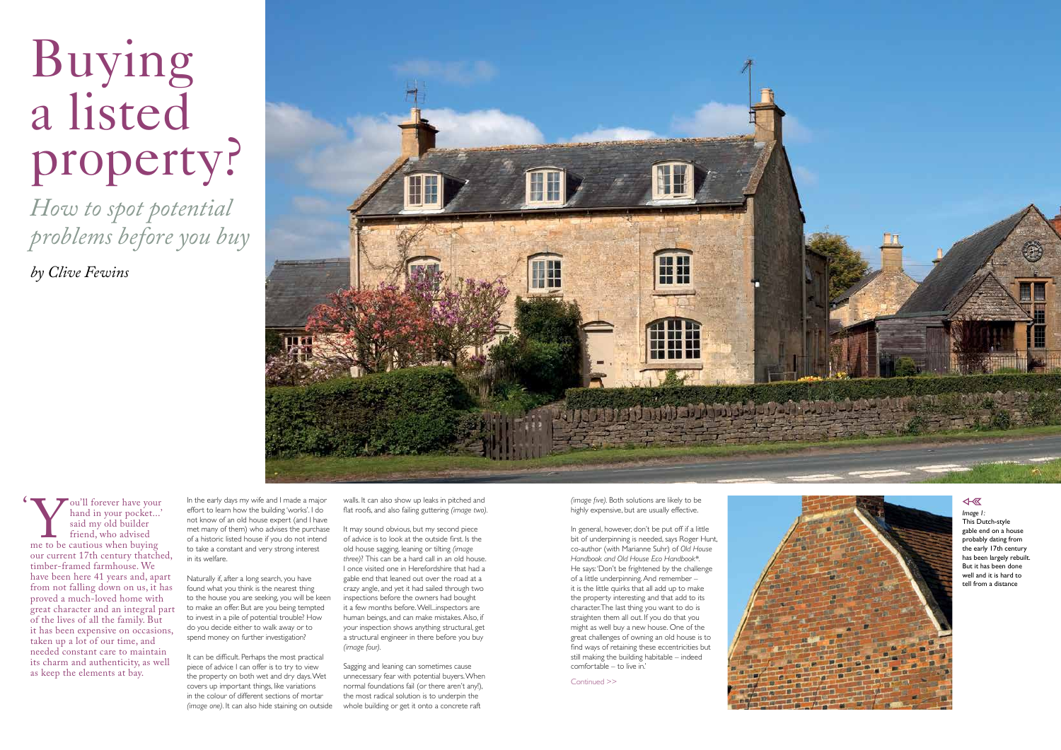# Buying a listed property?

*How to spot potential problems before you buy*

*by Clive Fewins*



In the early days my wife and I made a major effort to learn how the building 'works'. I do not know of an old house expert (and I have met many of them) who advises the purchase of a historic listed house if you do not intend to take a constant and very strong interest in its welfare.

Naturally if, after a long search, you have found what you think is the nearest thing to the house you are seeking, you will be keen to make an offer. But are you being tempted to invest in a pile of potential trouble? How do you decide either to walk away or to spend money on further investigation?

It can be difficult. Perhaps the most practical piece of advice I can offer is to try to view the property on both wet and dry days. Wet covers up important things, like variations in the colour of different sections of mortar *(image one).* It can also hide staining on outside

Sagging and leaning can sometimes cause unnecessary fear with potential buyers. When normal foundations fail (or there aren't any!), the most radical solution is to underpin the whole building or get it onto a concrete raft

Continued >>



### $\overline{\text{A}}$

*Image 1:*  This Dutch-style gable end on a house probably dating from the early 17th century has been largely rebuilt. But it has been done well and it is hard to tell from a distance

walls. It can also show up leaks in pitched and flat roofs, and also failing guttering *(image two).*

It may sound obvious, but my second piece of advice is to look at the outside first. Is the old house sagging, leaning or tilting *(image three)*? This can be a hard call in an old house. I once visited one in Herefordshire that had a gable end that leaned out over the road at a crazy angle, and yet it had sailed through two inspections before the owners had bought it a few months before. Well...inspectors are human beings, and can make mistakes. Also, if your inspection shows anything structural, get a structural engineer in there before you buy *(image four).*

Vou'll forever have your<br>hand in your pocket...'<br>said my old builder<br>friend, who advised<br>me to be cautious when buying<br>our current 17th century thatche hand in your pocket...' said my old builder friend, who advised me to be cautious when buying our current 17th century thatched, timber-framed farmhouse. We have been here 41 years and, apart from not falling down on us, it has proved a much-loved home with great character and an integral part of the lives of all the family. But it has been expensive on occasions, taken up a lot of our time, and needed constant care to maintain its charm and authenticity, as well as keep the elements at bay.

*(image five).* Both solutions are likely to be highly expensive, but are usually effective.

In general, however, don't be put off if a little bit of underpinning is needed, says Roger Hunt, co-author (with Marianne Suhr) of *Old House Handbook and Old House Eco Handbook\*.*  He says: 'Don't be frightened by the challenge of a little underpinning. And remember – it is the little quirks that all add up to make the property interesting and that add to its character. The last thing you want to do is straighten them all out. If you do that you might as well buy a new house. One of the great challenges of owning an old house is to find ways of retaining these eccentricities but still making the building habitable – indeed comfortable – to live in.'

'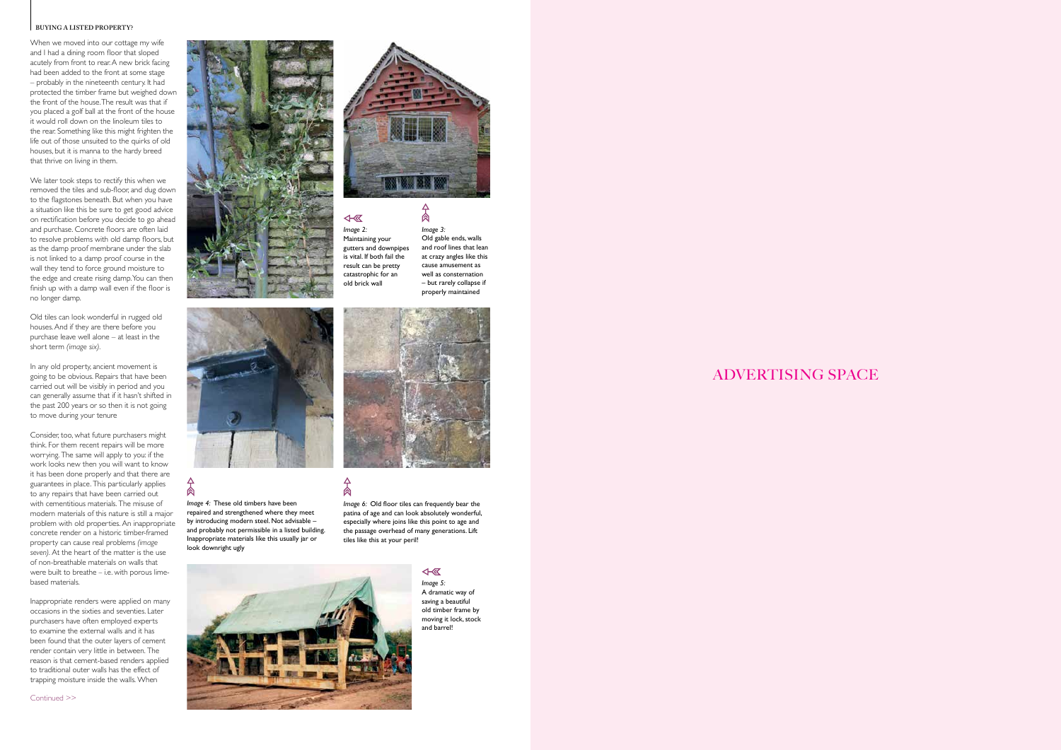#### **BUYING A LISTED PROPERTY?**

# ADVERTISING SPACE

Continued >>



When we moved into our cottage my wife and I had a dining room floor that sloped acutely from front to rear. A new brick facing had been added to the front at some stage – probably in the nineteenth century. It had protected the timber frame but weighed down the front of the house. The result was that if you placed a golf ball at the front of the house it would roll down on the linoleum tiles to the rear. Something like this might frighten the life out of those unsuited to the quirks of old houses, but it is manna to the hardy breed that thrive on living in them.

We later took steps to rectify this when we removed the tiles and sub-floor, and dug down to the flagstones beneath. But when you have a situation like this be sure to get good advice on rectification before you decide to go ahead and purchase. Concrete floors are often laid to resolve problems with old damp floors, but as the damp proof membrane under the slab is not linked to a damp proof course in the wall they tend to force ground moisture to the edge and create rising damp. You can then finish up with a damp wall even if the floor is no longer damp.

Old tiles can look wonderful in rugged old houses. And if they are there before you purchase leave well alone – at least in the short term *(image six).*

In any old property, ancient movement is going to be obvious. Repairs that have been carried out will be visibly in period and you can generally assume that if it hasn't shifted in the past 200 years or so then it is not going to move during your tenure

Consider, too, what future purchasers might think. For them recent repairs will be more worrying. The same will apply to you: if the work looks new then you will want to know it has been done properly and that there are guarantees in place. This particularly applies to any repairs that have been carried out with cementitious materials. The misuse of modern materials of this nature is still a major problem with old properties. An inappropriate concrete render on a historic timber-framed property can cause real problems *(image seven).* At the heart of the matter is the use of non-breathable materials on walls that were built to breathe – i.e. with porous limebased materials.

Inappropriate renders were applied on many occasions in the sixties and seventies. Later purchasers have often employed experts to examine the external walls and it has been found that the outer layers of cement render contain very little in between. The reason is that cement-based renders applied to traditional outer walls has the effect of trapping moisture inside the walls. When





肏

Maintaining your gutters and downpipes is vital. If both fail the result can be pretty catastrophic for an old brick wall

> *Image 5:* A dramatic way of saving a beautiful old timber frame by moving it lock, stock and barrel!

*Image 4:* These old timbers have been repaired and strengthened where they meet by introducing modern steel. Not advisable – and probably not permissible in a listed building. Inappropriate materials like this usually jar or look downright ugly

ል

*Image 6:* Old floor tiles can frequently bear the patina of age and can look absolutely wonderful, especially where joins like this point to age and the passage overhead of many generations. Lift tiles like this at your peril!

4- 区



*Image 3:* Old gable ends, walls and roof lines that lean at crazy angles like this cause amusement as well as consternation – but rarely collapse if properly maintained



 $\Delta$ 肏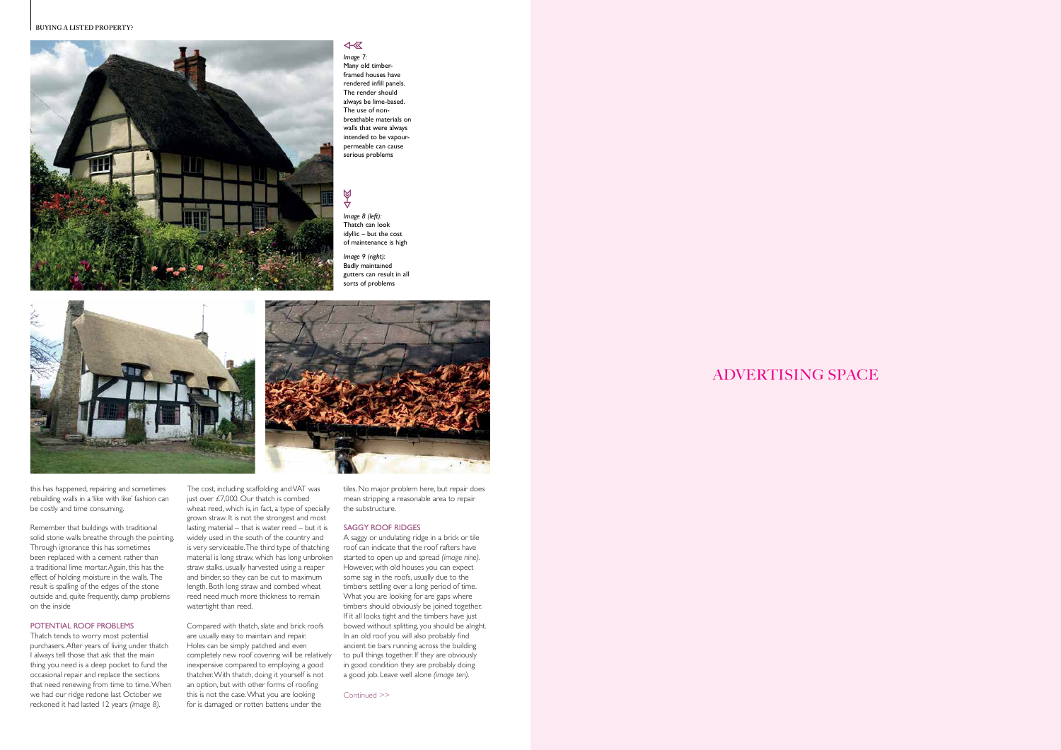# ADVERTISING SPACE

this has happened, repairing and sometimes rebuilding walls in a 'like with like' fashion can be costly and time consuming.

Remember that buildings with traditional solid stone walls breathe through the pointing. Through ignorance this has sometimes been replaced with a cement rather than a traditional lime mortar. Again, this has the effect of holding moisture in the walls. The result is spalling of the edges of the stone outside and, quite frequently, damp problems on the inside

#### POTENTIAL ROOF PROBLEMS

Thatch tends to worry most potential purchasers. After years of living under thatch I always tell those that ask that the main thing you need is a deep pocket to fund the occasional repair and replace the sections that need renewing from time to time. When we had our ridge redone last October we reckoned it had lasted 12 years *(image 8).* 

The cost, including scaffolding and VAT was just over  $£7,000$ . Our thatch is combed wheat reed, which is, in fact, a type of specially grown straw. It is not the strongest and most lasting material – that is water reed – but it is widely used in the south of the country and is very serviceable. The third type of thatching material is long straw, which has long unbroken straw stalks, usually harvested using a reaper and binder, so they can be cut to maximum length. Both long straw and combed wheat reed need much more thickness to remain watertight than reed.

#### **BUYING A LISTED PROPERTY?**



 $\overline{A}$ *Image 7:* Many old timberframed houses have rendered infill panels. The render should always be lime-based. The use of nonbreathable materials on walls that were always intended to be vapourpermeable can cause serious problems

# 418

Compared with thatch, slate and brick roofs are usually easy to maintain and repair. Holes can be simply patched and even completely new roof covering will be relatively inexpensive compared to employing a good thatcher. With thatch, doing it yourself is not an option, but with other forms of roofing this is not the case. What you are looking for is damaged or rotten battens under the

tiles. No major problem here, but repair does mean stripping a reasonable area to repair the substructure.

#### SAGGY ROOF RIDGES

A saggy or undulating ridge in a brick or tile roof can indicate that the roof rafters have started to open up and spread *(image nine).*  However, with old houses you can expect some sag in the roofs, usually due to the timbers settling over a long period of time. What you are looking for are gaps where timbers should obviously be joined together. If it all looks tight and the timbers have just bowed without splitting, you should be alright. In an old roof you will also probably find ancient tie bars running across the building to pull things together. If they are obviously in good condition they are probably doing a good job. Leave well alone *(image ten).*

*Image 8 (left):* Thatch can look idyllic – but the cost of maintenance is high

*Image 9 (right):* Badly maintained

gutters can result in all sorts of problems



Continued >>